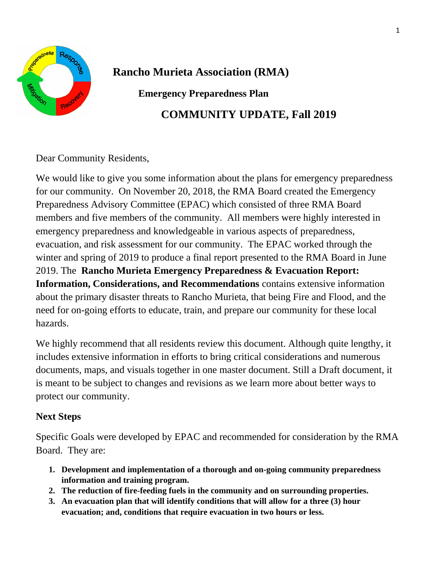

**Rancho Murieta Association (RMA)**

**Emergency Preparedness Plan** 

**COMMUNITY UPDATE, Fall 2019**

Dear Community Residents,

We would like to give you some information about the plans for emergency preparedness for our community. On November 20, 2018, the RMA Board created the Emergency Preparedness Advisory Committee (EPAC) which consisted of three RMA Board members and five members of the community. All members were highly interested in emergency preparedness and knowledgeable in various aspects of preparedness, evacuation, and risk assessment for our community. The EPAC worked through the winter and spring of 2019 to produce a final report presented to the RMA Board in June 2019. The **Rancho Murieta Emergency Preparedness & Evacuation Report: Information, Considerations, and Recommendations** contains extensive information about the primary disaster threats to Rancho Murieta, that being Fire and Flood, and the need for on-going efforts to educate, train, and prepare our community for these local hazards.

We highly recommend that all residents review this document. Although quite lengthy, it includes extensive information in efforts to bring critical considerations and numerous documents, maps, and visuals together in one master document. Still a Draft document, it is meant to be subject to changes and revisions as we learn more about better ways to protect our community.

## **Next Steps**

Specific Goals were developed by EPAC and recommended for consideration by the RMA Board. They are:

- **1. Development and implementation of a thorough and on-going community preparedness information and training program.**
- **2. The reduction of fire-feeding fuels in the community and on surrounding properties.**
- **3. An evacuation plan that will identify conditions that will allow for a three (3) hour evacuation; and, conditions that require evacuation in two hours or less.**